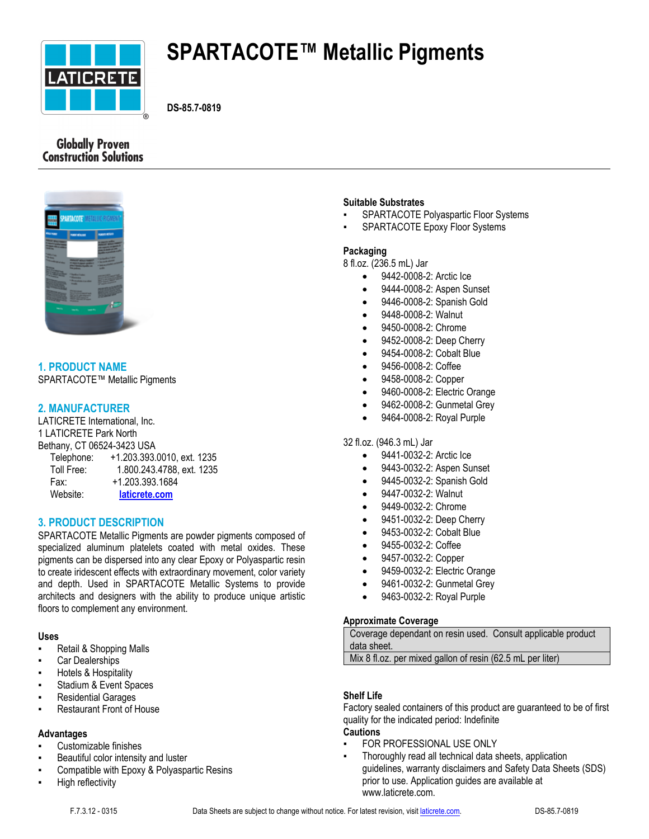

# **SPARTACOTE™ Metallic Pigments**

**DS-85.7-0819**

# **Globally Proven Construction Solutions**



# **1. PRODUCT NAME**

SPARTACOTE™ Metallic Pigments

# **2. MANUFACTURER**

LATICRETE International, Inc. 1 LATICRETE Park North Bethany, CT 06524-3423 USA

| Telephone: | +1.203.393.0010, ext. 1235 |
|------------|----------------------------|
| Toll Free: | 1.800.243.4788, ext. 1235  |
| Fax:       | +1.203.393.1684            |
| Website:   | laticrete.com              |

# **3. PRODUCT DESCRIPTION**

SPARTACOTE Metallic Pigments are powder pigments composed of specialized aluminum platelets coated with metal oxides. These pigments can be dispersed into any clear Epoxy or Polyaspartic resin to create iridescent effects with extraordinary movement, color variety and depth. Used in SPARTACOTE Metallic Systems to provide architects and designers with the ability to produce unique artistic floors to complement any environment.

# **Uses**

- Retail & Shopping Malls
- Car Dealerships
- Hotels & Hospitality
- Stadium & Event Spaces
- **Residential Garages**
- **Restaurant Front of House**

# **Advantages**

- Customizable finishes
- Beautiful color intensity and luster
- Compatible with Epoxy & Polyaspartic Resins
- **High reflectivity**

# **Suitable Substrates**

- SPARTACOTE Polyaspartic Floor Systems
- SPARTACOTE Epoxy Floor Systems

# **Packaging**

8 fl.oz. (236.5 mL) Jar

- 9442-0008-2: Arctic Ice
- 9444-0008-2: Aspen Sunset
- 9446-0008-2: Spanish Gold
- 9448-0008-2: Walnut
- 9450-0008-2: Chrome
- 9452-0008-2: Deep Cherry
- 9454-0008-2: Cobalt Blue
- 9456-0008-2: Coffee
- 9458-0008-2: Copper
- 9460-0008-2: Electric Orange
- 9462-0008-2: Gunmetal Grey
- 9464-0008-2: Royal Purple

#### 32 fl.oz. (946.3 mL) Jar

- 9441-0032-2: Arctic Ice
- 9443-0032-2: Aspen Sunset
- 9445-0032-2: Spanish Gold
- 9447-0032-2: Walnut
- 9449-0032-2: Chrome
- 9451-0032-2: Deep Cherry
- 9453-0032-2: Cobalt Blue
- 9455-0032-2: Coffee
- 9457-0032-2: Copper
- 9459-0032-2: Electric Orange
- 9461-0032-2: Gunmetal Grey
- 9463-0032-2: Royal Purple

# **Approximate Coverage**

Coverage dependant on resin used. Consult applicable product data sheet.

Mix 8 fl.oz. per mixed gallon of resin (62.5 mL per liter)

# **Shelf Life**

Factory sealed containers of this product are guaranteed to be of first quality for the indicated period: Indefinite **Cautions**

- **FOR PROFESSIONAL USE ONLY**
- Thoroughly read all technical data sheets, application guidelines, warranty disclaimers and Safety Data Sheets (SDS) prior to use. Application guides are available at www.laticrete.com.